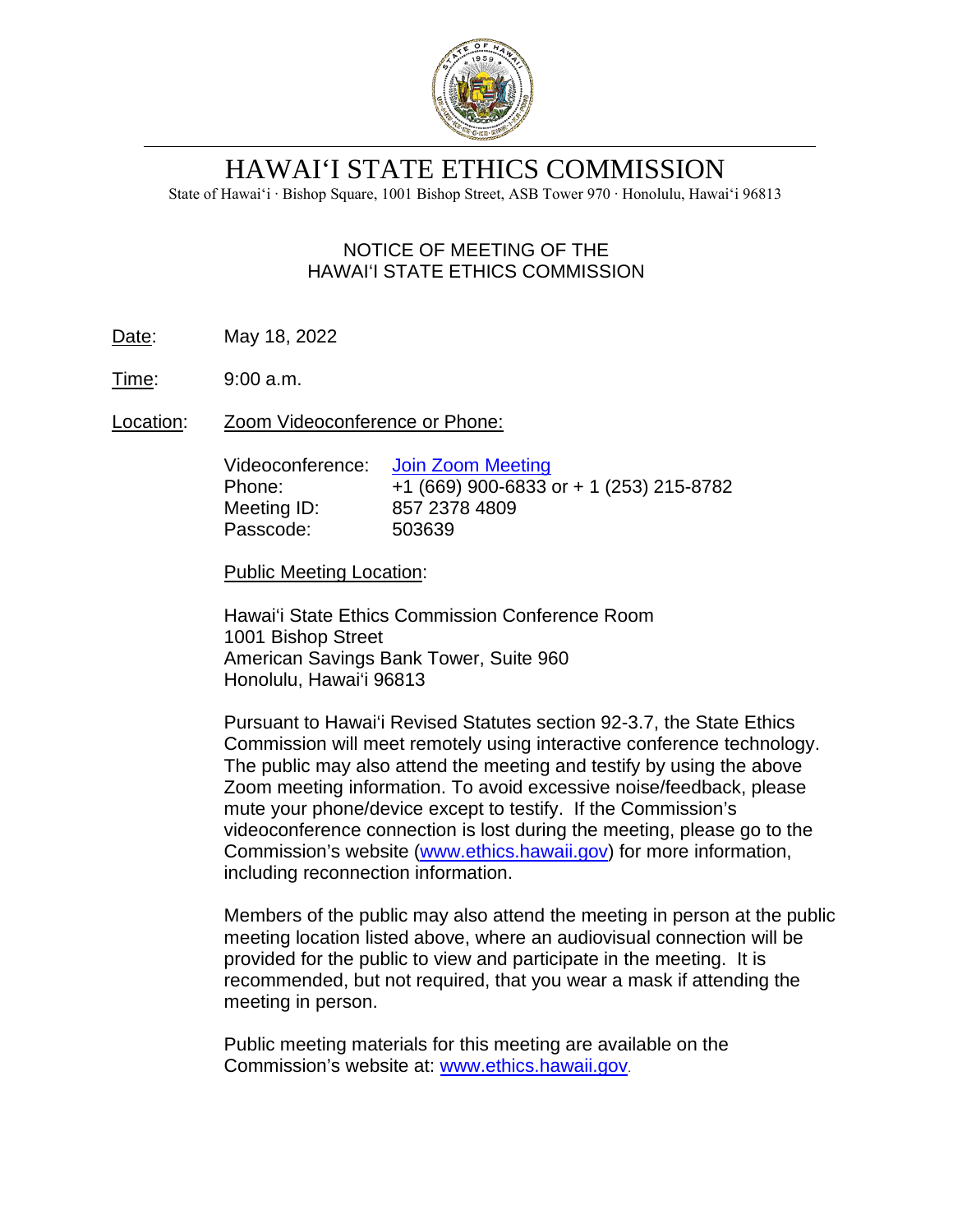

# HAWAI'I STATE ETHICS COMMISSION

State of Hawai'i ∙ Bishop Square, 1001 Bishop Street, ASB Tower 970 ∙ Honolulu, Hawai'i 96813

# NOTICE OF MEETING OF THE HAWAI'I STATE ETHICS COMMISSION

- Date: May 18, 2022
- Time: 9:00 a.m.
- Location: Zoom Videoconference or Phone:

| Videoconference: | Join Zoom Meeting                       |
|------------------|-----------------------------------------|
| Phone:           | +1 (669) 900-6833 or + 1 (253) 215-8782 |
| Meeting ID:      | 857 2378 4809                           |
| Passcode:        | 503639                                  |

Public Meeting Location:

Hawai'i State Ethics Commission Conference Room 1001 Bishop Street American Savings Bank Tower, Suite 960 Honolulu, Hawai'i 96813

Pursuant to Hawai'i Revised Statutes section 92-3.7, the State Ethics Commission will meet remotely using interactive conference technology. The public may also attend the meeting and testify by using the above Zoom meeting information. To avoid excessive noise/feedback, please mute your phone/device except to testify. If the Commission's videoconference connection is lost during the meeting, please go to the Commission's website [\(www.ethics.hawaii.gov\)](http://www.ethics.hawaii.gov/) for more information, including reconnection information.

Members of the public may also attend the meeting in person at the public meeting location listed above, where an audiovisual connection will be provided for the public to view and participate in the meeting. It is recommended, but not required, that you wear a mask if attending the meeting in person.

Public meeting materials for this meeting are available on the Commission's website at: [www.ethics.hawaii.gov](http://www.ethics.hawaii.gov/).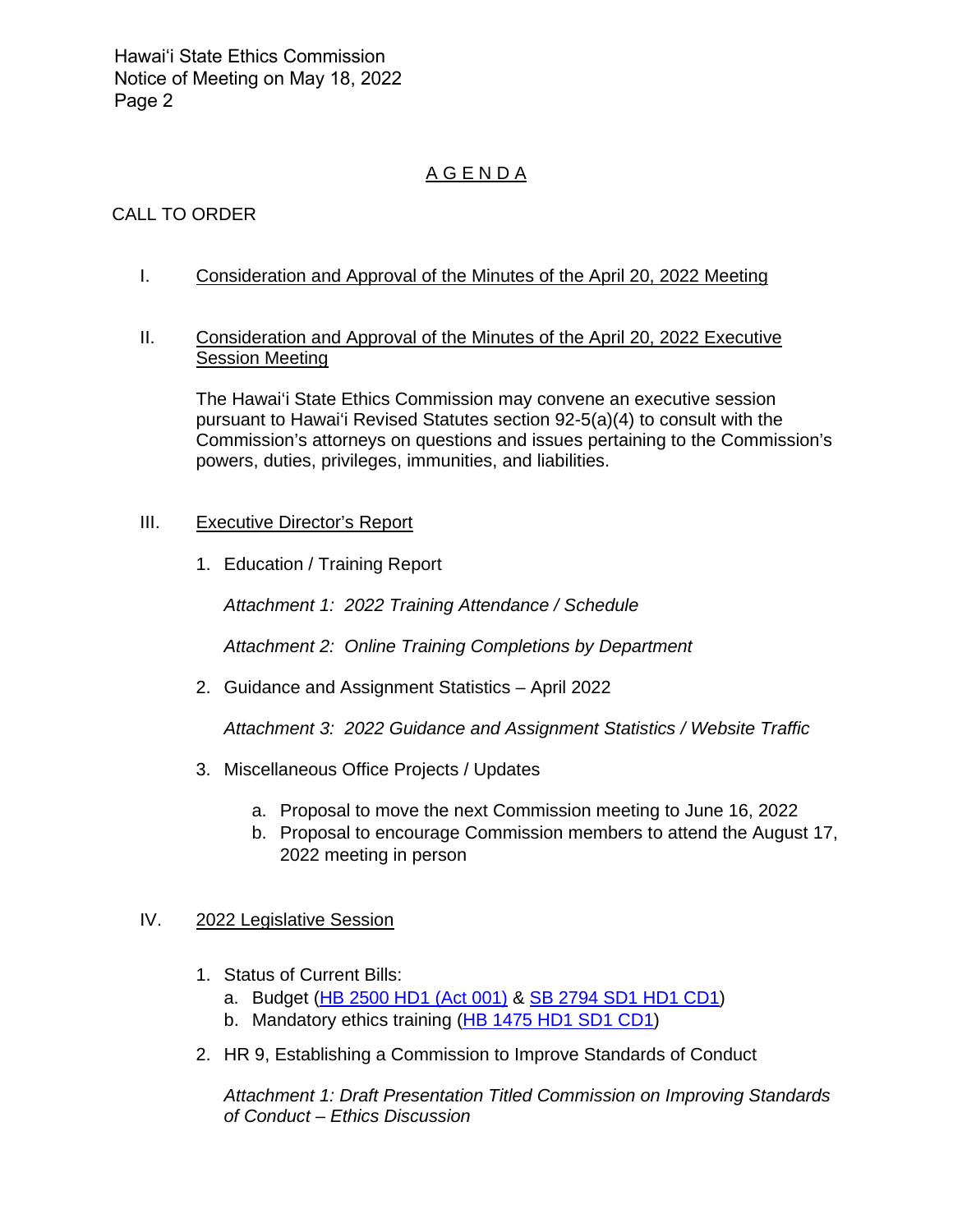Hawai'i State Ethics Commission Notice of Meeting on May 18, 2022 Page 2

# A G E N D A

# CALL TO ORDER

I. Consideration and Approval of the Minutes of the April 20, 2022 Meeting

#### II. Consideration and Approval of the Minutes of the April 20, 2022 Executive Session Meeting

The Hawai'i State Ethics Commission may convene an executive session pursuant to Hawai'i Revised Statutes section 92-5(a)(4) to consult with the Commission's attorneys on questions and issues pertaining to the Commission's powers, duties, privileges, immunities, and liabilities.

#### III. Executive Director's Report

1. Education / Training Report

*Attachment 1: 2022 Training Attendance / Schedule*

*Attachment 2: Online Training Completions by Department*

2. Guidance and Assignment Statistics – April 2022

*Attachment 3: 2022 Guidance and Assignment Statistics / Website Traffic*

- 3. Miscellaneous Office Projects / Updates
	- a. Proposal to move the next Commission meeting to June 16, 2022
	- b. Proposal to encourage Commission members to attend the August 17, 2022 meeting in person

## IV. 2022 Legislative Session

- 1. Status of Current Bills:
	- a. Budget [\(HB 2500 HD1](https://www.capitol.hawaii.gov/measure_indiv.aspx?billtype=HB&billnumber=2500&year=2022) (Act 001) & [SB 2794 SD1 HD1 CD1\)](https://www.capitol.hawaii.gov/measure_indiv.aspx?billtype=SB&billnumber=2794&year=2022)
	- b. Mandatory ethics training [\(HB 1475](https://www.capitol.hawaii.gov/measure_indiv.aspx?billtype=HB&billnumber=1475&year=2022) HD1 SD1 CD1)
- 2. HR 9, Establishing a Commission to Improve Standards of Conduct

*Attachment 1: Draft Presentation Titled Commission on Improving Standards of Conduct – Ethics Discussion*